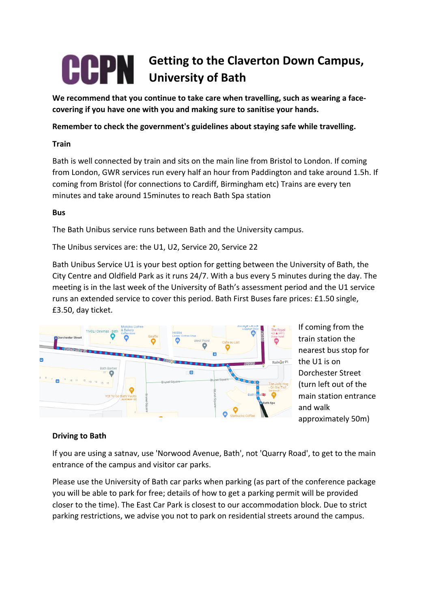# **Getting to the Claverton Down Campus, University of Bath**

**We recommend that you continue to take care when travelling, such as wearing a facecovering if you have one with you and making sure to sanitise your hands.**

**Remember to check the government's guidelines about staying safe while travelling.**

## **Train**

Bath is well connected by train and sits on the main line from Bristol to London. If coming from London, GWR services run every half an hour from Paddington and take around 1.5h. If coming from Bristol (for connections to Cardiff, Birmingham etc) Trains are every ten minutes and take around 15minutes to reach Bath Spa station

#### **Bus**

The Bath Unibus service runs between Bath and the University campus.

The Unibus services are: the U1, U2, Service 20, Service 22

Bath Unibus Service U1 is your best option for getting between the University of Bath, the City Centre and Oldfield Park as it runs 24/7. With a bus every 5 minutes during the day. The meeting is in the last week of the University of Bath's assessment period and the U1 service runs an extended service to cover this period. Bath First Buses fare prices: £1.50 single, £3.50, day ticket.



If coming from the train station the nearest bus stop for the U1 is on Dorchester Street (turn left out of the main station entrance and walk approximately 50m)

## **Driving to Bath**

If you are using a satnav, use 'Norwood Avenue, Bath', not 'Quarry Road', to get to the main entrance of the campus and visitor car parks.

Please use the University of Bath car parks when parking (as part of the conference package you will be able to park for free; details of how to get a parking permit will be provided closer to the time). The East Car Park is closest to our accommodation block. Due to strict parking restrictions, we advise you not to park on residential streets around the campus.